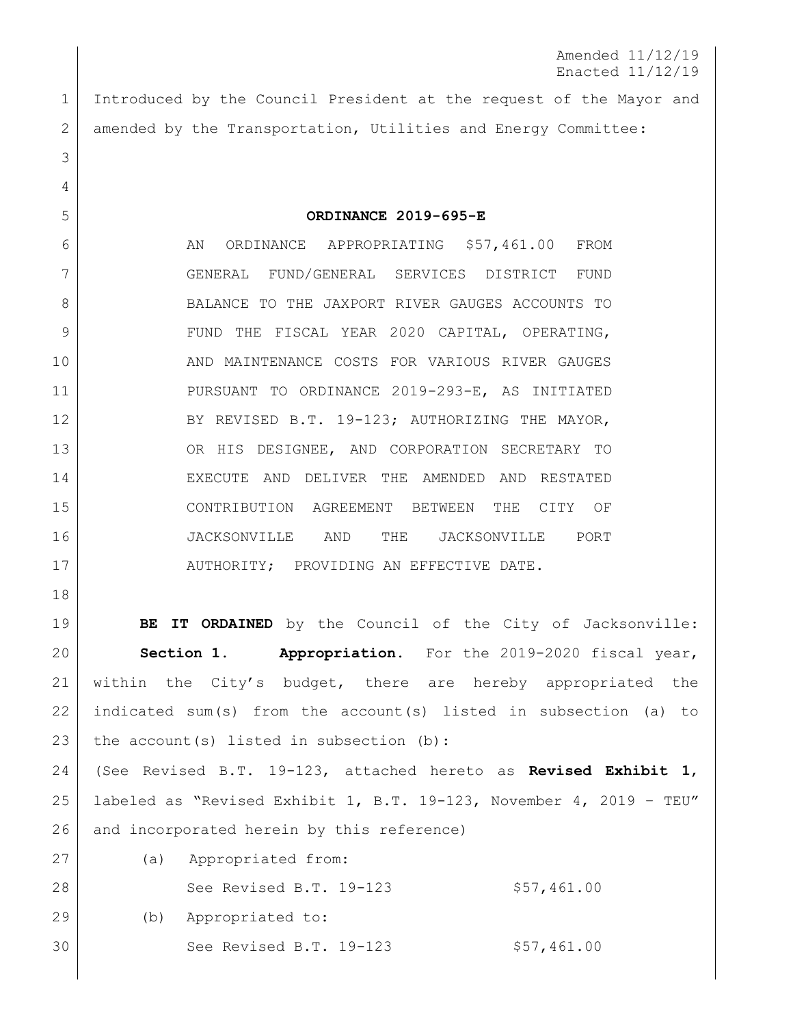Amended 11/12/19 Enacted 11/12/19

 Introduced by the Council President at the request of the Mayor and 2 amended by the Transportation, Utilities and Energy Committee:

**ORDINANCE 2019-695-E**

6 AN ORDINANCE APPROPRIATING \$57,461.00 FROM GENERAL FUND/GENERAL SERVICES DISTRICT FUND 8 BALANCE TO THE JAXPORT RIVER GAUGES ACCOUNTS TO 9 FUND THE FISCAL YEAR 2020 CAPITAL, OPERATING, 10 AND MAINTENANCE COSTS FOR VARIOUS RIVER GAUGES PURSUANT TO ORDINANCE 2019-293-E, AS INITIATED 12 BY REVISED B.T. 19-123; AUTHORIZING THE MAYOR, OR HIS DESIGNEE, AND CORPORATION SECRETARY TO EXECUTE AND DELIVER THE AMENDED AND RESTATED CONTRIBUTION AGREEMENT BETWEEN THE CITY OF JACKSONVILLE AND THE JACKSONVILLE PORT 17 AUTHORITY; PROVIDING AN EFFECTIVE DATE.

**BE IT ORDAINED** by the Council of the City of Jacksonville: **Section 1. Appropriation.** For the 2019-2020 fiscal year, within the City's budget, there are hereby appropriated the indicated sum(s) from the account(s) listed in subsection (a) to 23 the account(s) listed in subsection (b): (See Revised B.T. 19-123, attached hereto as **Revised Exhibit 1**,

 labeled as "Revised Exhibit 1, B.T. 19-123, November 4, 2019 – TEU" 26 and incorporated herein by this reference)

 (a) Appropriated from: 28 See Revised B.T. 19-123 \$57,461.00 (b) Appropriated to: See Revised B.T. 19-123 \$57,461.00